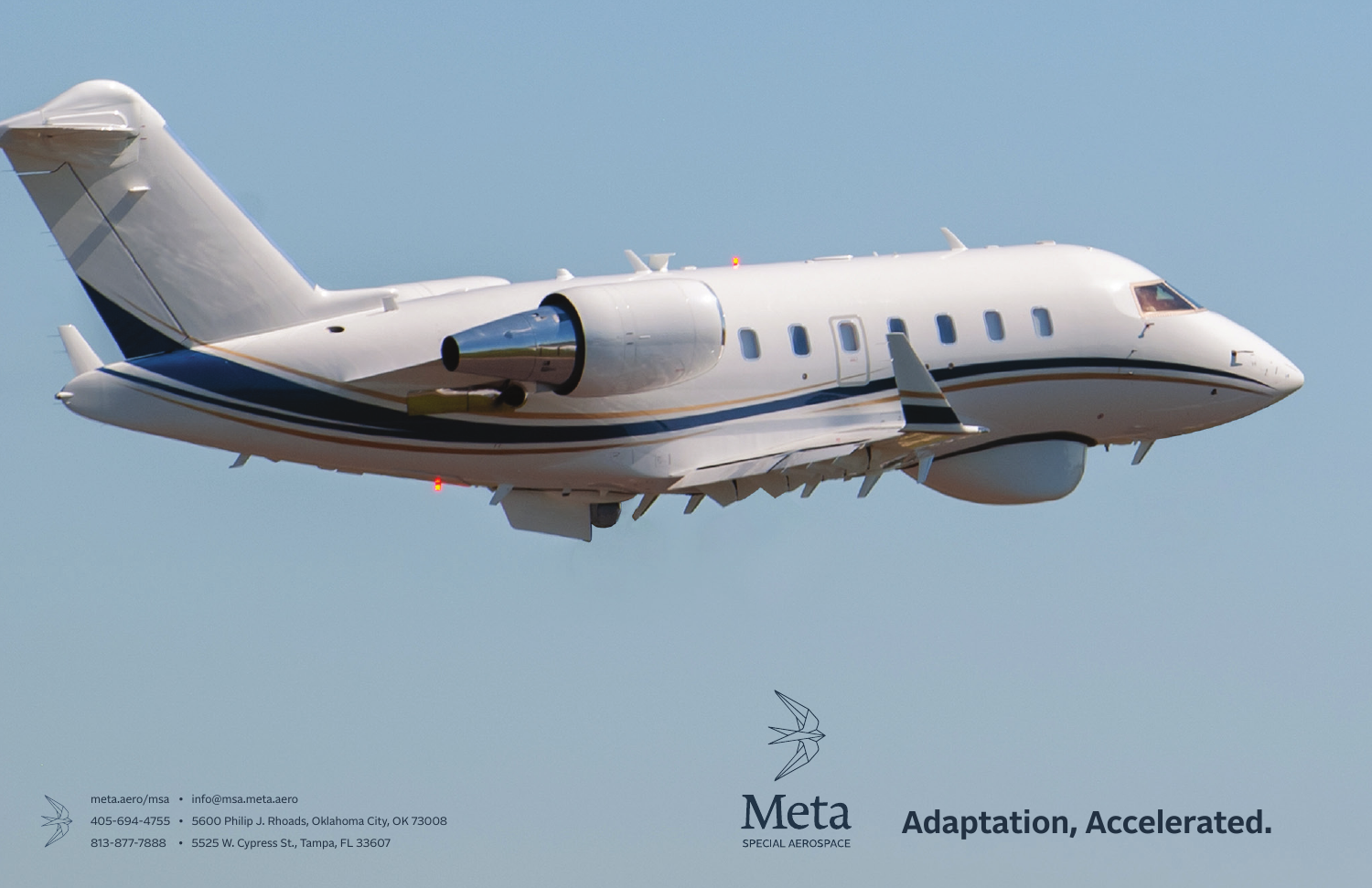



# Meta SPECIAL AEROSPACE



## **Adaptation, Accelerated.**

meta.aero/msa • info@msa.meta.aero

405-694-4755 • 5600 Philip J. Rhoads, Oklahoma City, OK 73008

813-877-7888 • 5525 W. Cypress St., Tampa, FL 33607